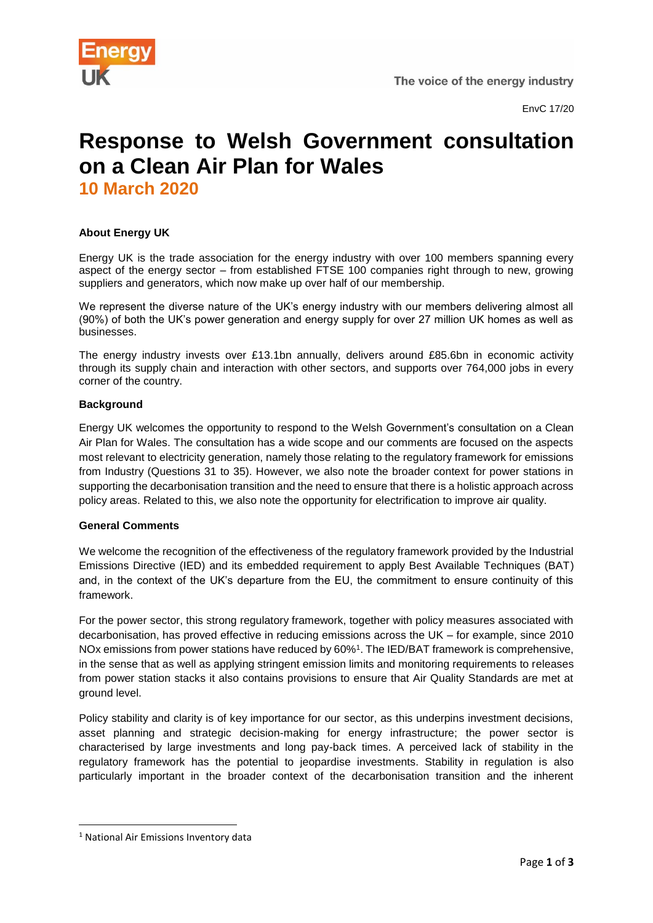

# **Response to Welsh Government consultation on a Clean Air Plan for Wales 10 March 2020**

### **About Energy UK**

Energy UK is the trade association for the energy industry with over 100 members spanning every aspect of the energy sector – from established FTSE 100 companies right through to new, growing suppliers and generators, which now make up over half of our membership.

We represent the diverse nature of the UK's energy industry with our members delivering almost all (90%) of both the UK's power generation and energy supply for over 27 million UK homes as well as businesses.

The energy industry invests over £13.1bn annually, delivers around £85.6bn in economic activity through its supply chain and interaction with other sectors, and supports over 764,000 jobs in every corner of the country.

#### **Background**

Energy UK welcomes the opportunity to respond to the Welsh Government's consultation on a Clean Air Plan for Wales. The consultation has a wide scope and our comments are focused on the aspects most relevant to electricity generation, namely those relating to the regulatory framework for emissions from Industry (Questions 31 to 35). However, we also note the broader context for power stations in supporting the decarbonisation transition and the need to ensure that there is a holistic approach across policy areas. Related to this, we also note the opportunity for electrification to improve air quality.

#### **General Comments**

We welcome the recognition of the effectiveness of the regulatory framework provided by the Industrial Emissions Directive (IED) and its embedded requirement to apply Best Available Techniques (BAT) and, in the context of the UK's departure from the EU, the commitment to ensure continuity of this framework.

For the power sector, this strong regulatory framework, together with policy measures associated with decarbonisation, has proved effective in reducing emissions across the UK – for example, since 2010 NOx emissions from power stations have reduced by 60%<sup>1</sup> . The IED/BAT framework is comprehensive, in the sense that as well as applying stringent emission limits and monitoring requirements to releases from power station stacks it also contains provisions to ensure that Air Quality Standards are met at ground level.

Policy stability and clarity is of key importance for our sector, as this underpins investment decisions, asset planning and strategic decision-making for energy infrastructure; the power sector is characterised by large investments and long pay-back times. A perceived lack of stability in the regulatory framework has the potential to jeopardise investments. Stability in regulation is also particularly important in the broader context of the decarbonisation transition and the inherent

**.** 

<sup>1</sup> National Air Emissions Inventory data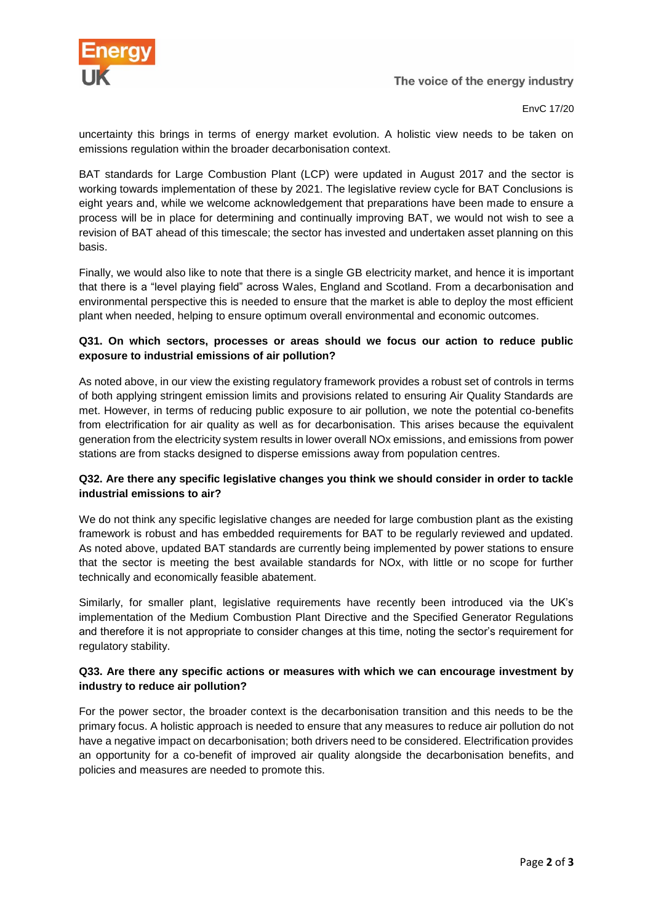

The voice of the energy industry

EnvC 17/20

uncertainty this brings in terms of energy market evolution. A holistic view needs to be taken on emissions regulation within the broader decarbonisation context.

BAT standards for Large Combustion Plant (LCP) were updated in August 2017 and the sector is working towards implementation of these by 2021. The legislative review cycle for BAT Conclusions is eight years and, while we welcome acknowledgement that preparations have been made to ensure a process will be in place for determining and continually improving BAT, we would not wish to see a revision of BAT ahead of this timescale; the sector has invested and undertaken asset planning on this basis.

Finally, we would also like to note that there is a single GB electricity market, and hence it is important that there is a "level playing field" across Wales, England and Scotland. From a decarbonisation and environmental perspective this is needed to ensure that the market is able to deploy the most efficient plant when needed, helping to ensure optimum overall environmental and economic outcomes.

### **Q31. On which sectors, processes or areas should we focus our action to reduce public exposure to industrial emissions of air pollution?**

As noted above, in our view the existing regulatory framework provides a robust set of controls in terms of both applying stringent emission limits and provisions related to ensuring Air Quality Standards are met. However, in terms of reducing public exposure to air pollution, we note the potential co-benefits from electrification for air quality as well as for decarbonisation. This arises because the equivalent generation from the electricity system results in lower overall NOx emissions, and emissions from power stations are from stacks designed to disperse emissions away from population centres.

### **Q32. Are there any specific legislative changes you think we should consider in order to tackle industrial emissions to air?**

We do not think any specific legislative changes are needed for large combustion plant as the existing framework is robust and has embedded requirements for BAT to be regularly reviewed and updated. As noted above, updated BAT standards are currently being implemented by power stations to ensure that the sector is meeting the best available standards for NOx, with little or no scope for further technically and economically feasible abatement.

Similarly, for smaller plant, legislative requirements have recently been introduced via the UK's implementation of the Medium Combustion Plant Directive and the Specified Generator Regulations and therefore it is not appropriate to consider changes at this time, noting the sector's requirement for regulatory stability.

#### **Q33. Are there any specific actions or measures with which we can encourage investment by industry to reduce air pollution?**

For the power sector, the broader context is the decarbonisation transition and this needs to be the primary focus. A holistic approach is needed to ensure that any measures to reduce air pollution do not have a negative impact on decarbonisation; both drivers need to be considered. Electrification provides an opportunity for a co-benefit of improved air quality alongside the decarbonisation benefits, and policies and measures are needed to promote this.